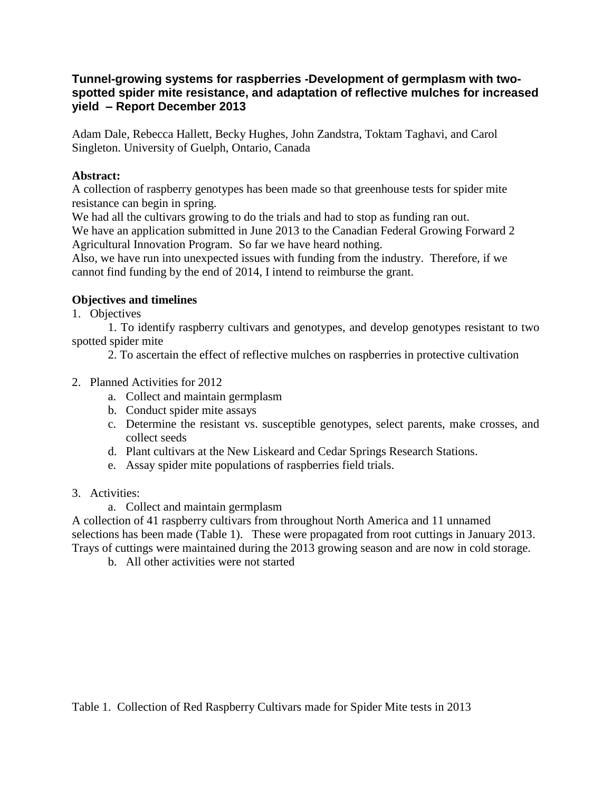## **Tunnel-growing systems for raspberries -Development of germplasm with twospotted spider mite resistance, and adaptation of reflective mulches for increased yield – Report December 2013**

Adam Dale, Rebecca Hallett, Becky Hughes, John Zandstra, Toktam Taghavi, and Carol Singleton. University of Guelph, Ontario, Canada

## **Abstract:**

A collection of raspberry genotypes has been made so that greenhouse tests for spider mite resistance can begin in spring.

We had all the cultivars growing to do the trials and had to stop as funding ran out.

We have an application submitted in June 2013 to the Canadian Federal Growing Forward 2 Agricultural Innovation Program. So far we have heard nothing.

Also, we have run into unexpected issues with funding from the industry. Therefore, if we cannot find funding by the end of 2014, I intend to reimburse the grant.

## **Objectives and timelines**

1. Objectives

1. To identify raspberry cultivars and genotypes, and develop genotypes resistant to two spotted spider mite

2. To ascertain the effect of reflective mulches on raspberries in protective cultivation

- 2. Planned Activities for 2012
	- a. Collect and maintain germplasm
	- b. Conduct spider mite assays
	- c. Determine the resistant vs. susceptible genotypes, select parents, make crosses, and collect seeds
	- d. Plant cultivars at the New Liskeard and Cedar Springs Research Stations.
	- e. Assay spider mite populations of raspberries field trials.
- 3. Activities:
	- a. Collect and maintain germplasm

A collection of 41 raspberry cultivars from throughout North America and 11 unnamed selections has been made (Table 1). These were propagated from root cuttings in January 2013. Trays of cuttings were maintained during the 2013 growing season and are now in cold storage.

b. All other activities were not started

Table 1. Collection of Red Raspberry Cultivars made for Spider Mite tests in 2013